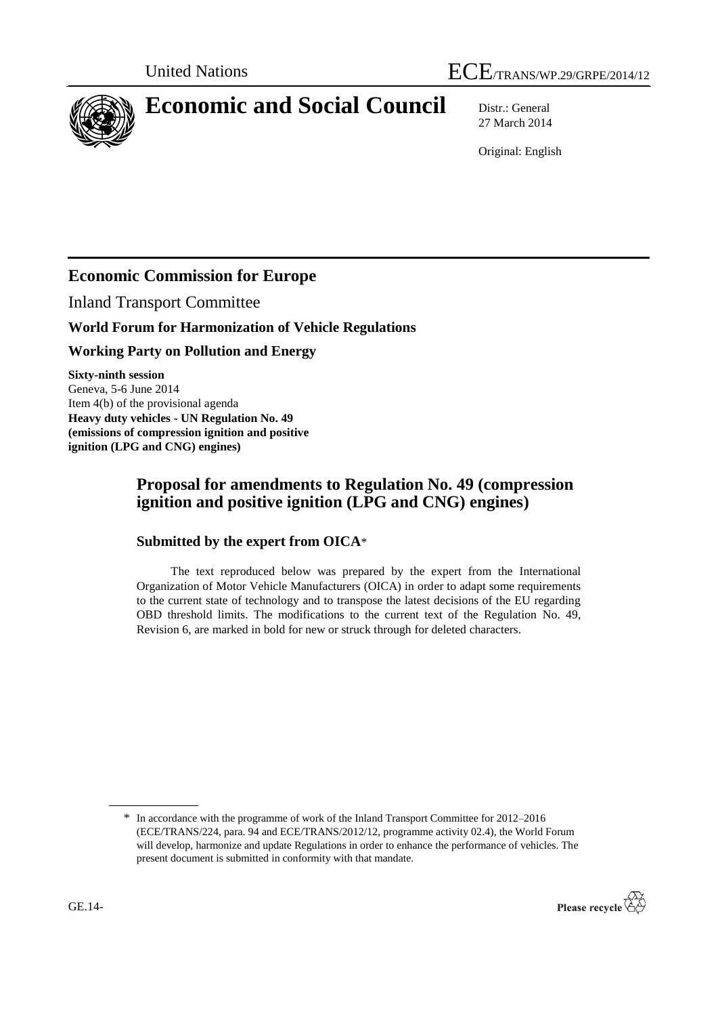

# **Economic and Social Council** Distr.: General

27 March 2014

Original: English

# **Economic Commission for Europe**

Inland Transport Committee

# **World Forum for Harmonization of Vehicle Regulations**

# **Working Party on Pollution and Energy**

**Sixty-ninth session**  Geneva, 5-6 June 2014 Item 4(b) of the provisional agenda **Heavy duty vehicles - UN Regulation No. 49 (emissions of compression ignition and positive ignition (LPG and CNG) engines)**

# **Proposal for amendments to Regulation No. 49 (compression ignition and positive ignition (LPG and CNG) engines)**

# **Submitted by the expert from OICA**\*

The text reproduced below was prepared by the expert from the International Organization of Motor Vehicle Manufacturers (OICA) in order to adapt some requirements to the current state of technology and to transpose the latest decisions of the EU regarding OBD threshold limits. The modifications to the current text of the Regulation No. 49, Revision 6, are marked in bold for new or struck through for deleted characters.

<sup>\*</sup> In accordance with the programme of work of the Inland Transport Committee for 2012–2016 (ECE/TRANS/224, para. 94 and ECE/TRANS/2012/12, programme activity 02.4), the World Forum will develop, harmonize and update Regulations in order to enhance the performance of vehicles. The present document is submitted in conformity with that mandate.

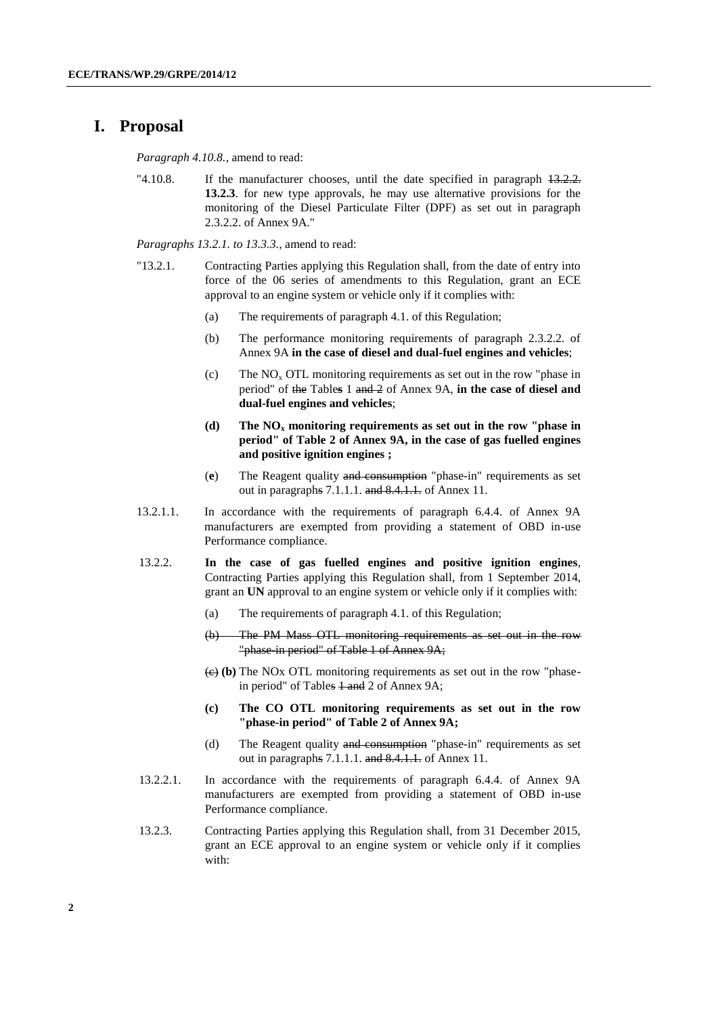#### **I. Proposal**

*Paragraph 4.10.8.,* amend to read:

"4.10.8. If the manufacturer chooses, until the date specified in paragraph  $13.2.2$ . **13.2.3**. for new type approvals, he may use alternative provisions for the monitoring of the Diesel Particulate Filter (DPF) as set out in paragraph 2.3.2.2. of Annex 9A."

*Paragraphs 13.2.1. to 13.3.3.,* amend to read:

- "13.2.1. Contracting Parties applying this Regulation shall, from the date of entry into force of the 06 series of amendments to this Regulation, grant an ECE approval to an engine system or vehicle only if it complies with:
	- (a) The requirements of paragraph 4.1. of this Regulation;
	- (b) The performance monitoring requirements of paragraph 2.3.2.2. of Annex 9A **in the case of diesel and dual-fuel engines and vehicles**;
	- (c) The  $NO<sub>x</sub> OTL$  monitoring requirements as set out in the row "phase in period" of the Table**s** 1 and 2 of Annex 9A, **in the case of diesel and dual-fuel engines and vehicles**;
	- **(d) The NO<sup>x</sup> monitoring requirements as set out in the row "phase in period" of Table 2 of Annex 9A, in the case of gas fuelled engines and positive ignition engines ;**
	- (**e**) The Reagent quality and consumption "phase-in" requirements as set out in paragraphs 7.1.1.1. and 8.4.1.1. of Annex 11.
- 13.2.1.1. In accordance with the requirements of paragraph 6.4.4. of Annex 9A manufacturers are exempted from providing a statement of OBD in-use Performance compliance.
- 13.2.2. **In the case of gas fuelled engines and positive ignition engines**, Contracting Parties applying this Regulation shall, from 1 September 2014, grant an **UN** approval to an engine system or vehicle only if it complies with:
	- (a) The requirements of paragraph 4.1. of this Regulation;
	- (b) The PM Mass OTL monitoring requirements as set out in the row "phase in period" of Table 1 of Annex 9A;
	- $\left(\frac{e}{e}\right)$  (b) The NOx OTL monitoring requirements as set out in the row "phasein period" of Tables  $1$  and 2 of Annex 9A;
	- **(c) The CO OTL monitoring requirements as set out in the row "phase-in period" of Table 2 of Annex 9A;**
	- (d) The Reagent quality and consumption "phase-in" requirements as set out in paragraphs 7.1.1.1. and 8.4.1.1. of Annex 11.
- 13.2.2.1. In accordance with the requirements of paragraph 6.4.4. of Annex 9A manufacturers are exempted from providing a statement of OBD in-use Performance compliance.
- 13.2.3. Contracting Parties applying this Regulation shall, from 31 December 2015, grant an ECE approval to an engine system or vehicle only if it complies with: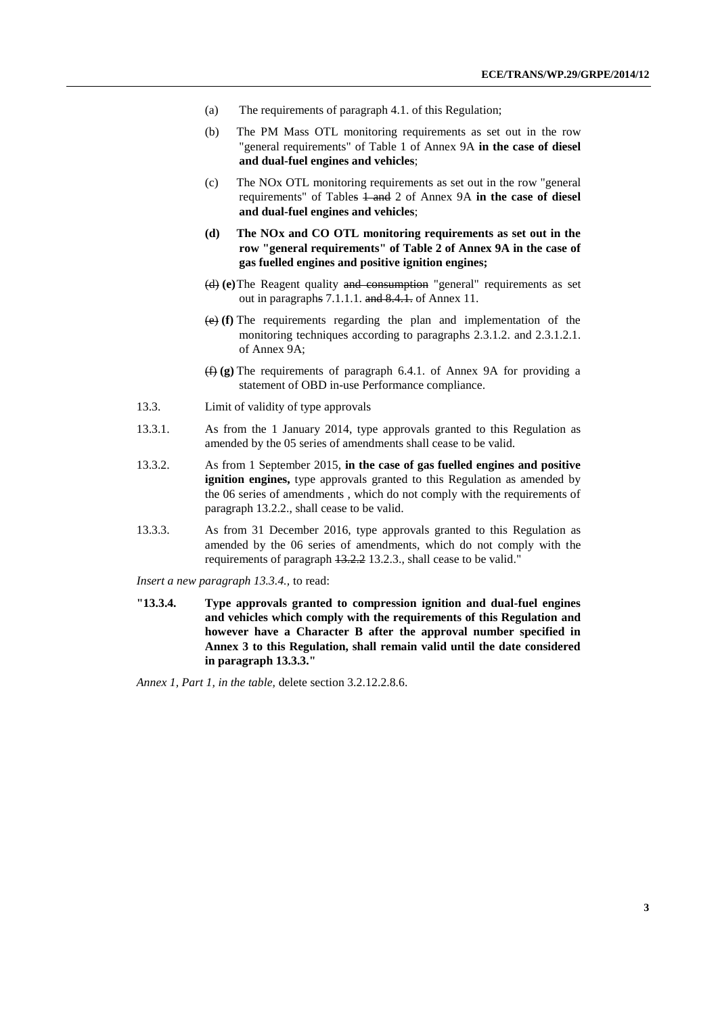- (a) The requirements of paragraph 4.1. of this Regulation;
- (b) The PM Mass OTL monitoring requirements as set out in the row "general requirements" of Table 1 of Annex 9A **in the case of diesel and dual-fuel engines and vehicles**;
- (c) The NOx OTL monitoring requirements as set out in the row "general requirements" of Tables  $\frac{1}{2}$  and 2 of Annex 9A **in the case of diesel and dual-fuel engines and vehicles**;
- **(d) The NOx and CO OTL monitoring requirements as set out in the row "general requirements" of Table 2 of Annex 9A in the case of gas fuelled engines and positive ignition engines;**
- (d) **(e)**The Reagent quality and consumption "general" requirements as set out in paragraphs 7.1.1.1. and 8.4.1. of Annex 11.
- (e) **(f)** The requirements regarding the plan and implementation of the monitoring techniques according to paragraphs 2.3.1.2. and 2.3.1.2.1. of Annex 9A;
- (f) **(g)** The requirements of paragraph 6.4.1. of Annex 9A for providing a statement of OBD in-use Performance compliance.
- 13.3. Limit of validity of type approvals
- 13.3.1. As from the 1 January 2014, type approvals granted to this Regulation as amended by the 05 series of amendments shall cease to be valid.
- 13.3.2. As from 1 September 2015, **in the case of gas fuelled engines and positive ignition engines,** type approvals granted to this Regulation as amended by the 06 series of amendments , which do not comply with the requirements of paragraph 13.2.2., shall cease to be valid.
- 13.3.3. As from 31 December 2016, type approvals granted to this Regulation as amended by the 06 series of amendments, which do not comply with the requirements of paragraph 13.2.2 13.2.3., shall cease to be valid."

*Insert a new paragraph 13.3.4.,* to read:

**"13.3.4. Type approvals granted to compression ignition and dual-fuel engines and vehicles which comply with the requirements of this Regulation and however have a Character B after the approval number specified in Annex 3 to this Regulation, shall remain valid until the date considered in paragraph 13.3.3."**

*Annex 1, Part 1, in the table,* delete section 3.2.12.2.8.6.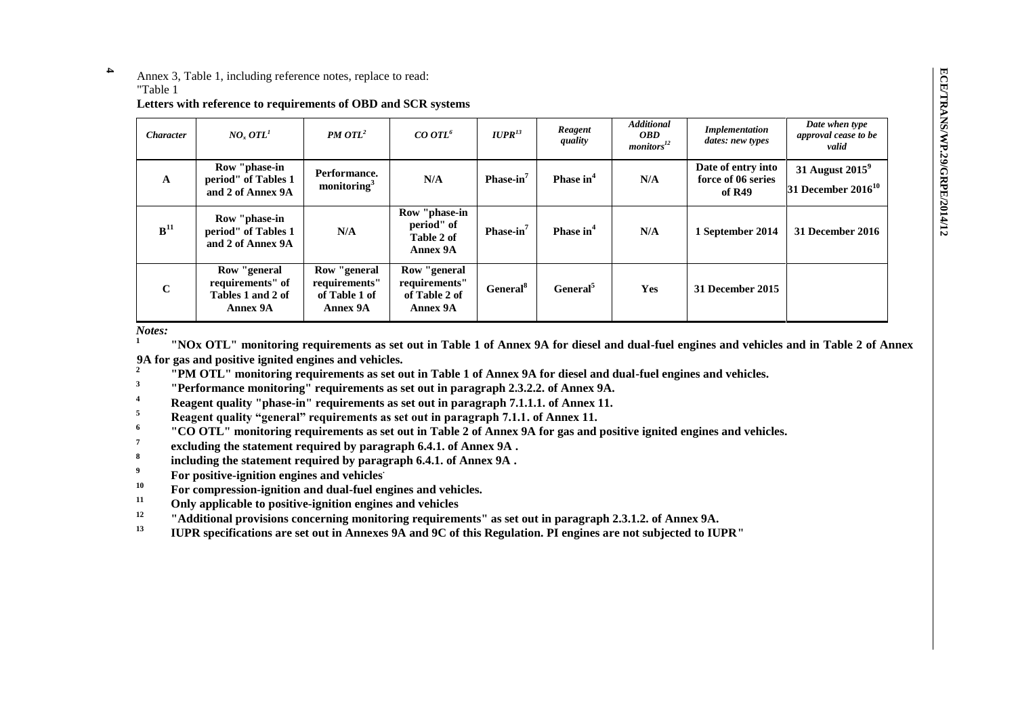ECE/TRANS/WP.29/GRPE/2014/12 **ECE/TRANS/WP.29/GRPE/2014/12**

**4** Annex 3, Table 1, including reference notes, replace to read:

#### "Table 1

#### **Letters with reference to requirements of OBD and SCR systems**

| <i><b>Character</b></i> | NO <sub>r</sub> OTL <sup>1</sup>                                  | <b>PM OTL<sup>2</sup></b>                                  | CO OTL <sup>6</sup>                                         | $IUPR^{13}$           | Reagent<br>quality    | <b>Additional</b><br><i><b>OBD</b></i><br>$monitors^{12}$ | <b>Implementation</b><br>dates: new types          | Date when type<br>approval cease to be<br>valid |
|-------------------------|-------------------------------------------------------------------|------------------------------------------------------------|-------------------------------------------------------------|-----------------------|-----------------------|-----------------------------------------------------------|----------------------------------------------------|-------------------------------------------------|
| $\mathbf{A}$            | Row "phase-in<br>period" of Tables 1<br>and 2 of Annex 9A         | Performance.<br>monitoring $3$                             | N/A                                                         | Phase-in $7$          | Phase in <sup>4</sup> | N/A                                                       | Date of entry into<br>force of 06 series<br>of R49 | 31 August $2015^9$<br>31 December $2016^{10}$   |
| ${\bf B}^{11}$          | Row "phase-in<br>period" of Tables 1<br>and 2 of Annex 9A         | N/A                                                        | Row "phase-in<br>period" of<br>Table 2 of<br>Annex 9A       | Phase-in <sup>7</sup> | Phase in <sup>4</sup> | N/A                                                       | 1 September 2014                                   | 31 December 2016                                |
| $\mathbf C$             | Row "general<br>requirements" of<br>Tables 1 and 2 of<br>Annex 9A | Row "general<br>requirements"<br>of Table 1 of<br>Annex 9A | Row "general"<br>requirements"<br>of Table 2 of<br>Annex 9A | General <sup>8</sup>  | General <sup>5</sup>  | Yes                                                       | 31 December 2015                                   |                                                 |

*Notes:*

**1 "NOx OTL" monitoring requirements as set out in Table 1 of Annex 9A for diesel and dual-fuel engines and vehicles and in Table 2 of Annex 9A for gas and positive ignited engines and vehicles. 2**

**"PM OTL" monitoring requirements as set out in Table 1 of Annex 9A for diesel and dual-fuel engines and vehicles.**

**3 "Performance monitoring" requirements as set out in paragraph 2.3.2.2. of Annex 9A.**

**Reagent quality "phase-in" requirements as set out in paragraph 7.1.1.1. of Annex 11.**<br>Reagent quality "personal" proprietations as set out in paragraph 7.1.1.1. of Annex 11.

**<sup>5</sup> Reagent quality "general" requirements as set out in paragraph 7.1.1. of Annex 11.**

**6 "CO OTL" monitoring requirements as set out in Table 2 of Annex 9A for gas and positive ignited engines and vehicles.**

**7 excluding the statement required by paragraph 6.4.1. of Annex 9A .**

**8 including the statement required by paragraph 6.4.1. of Annex 9A .**

**<sup>9</sup>For positive-ignition engines and vehicles.**

<sup>10</sup> For compression-ignition and dual-fuel engines and vehicles.

**<sup>11</sup> Only applicable to positive-ignition engines and vehicles**

<sup>12</sup> **12 "Additional provisions concerning monitoring requirements" as set out in paragraph 2.3.1.2. of Annex 9A.**<br>**IIDD** greatfiections are set out in Annexes 0A and 0C of this Resultion. PL ansines are not subjected to

**<sup>13</sup> IUPR specifications are set out in Annexes 9A and 9C of this Regulation. PI engines are not subjected to IUPR"**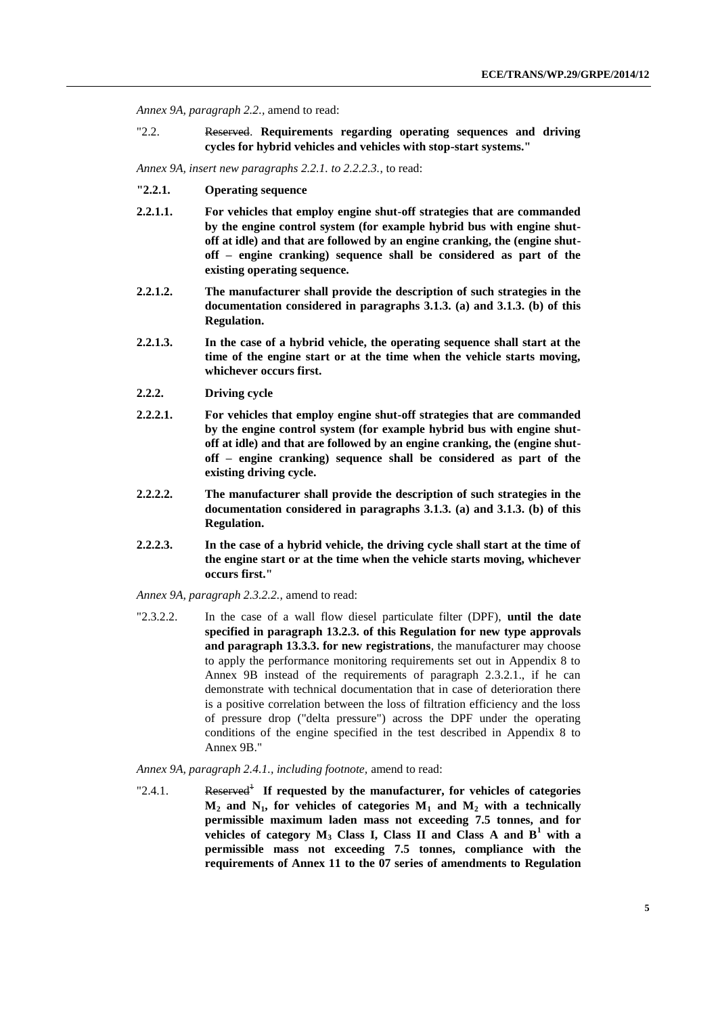*Annex 9A, paragraph 2.2.,* amend to read:

"2.2. Reserved. **Requirements regarding operating sequences and driving cycles for hybrid vehicles and vehicles with stop-start systems."**

*Annex 9A, insert new paragraphs 2.2.1. to 2.2.2.3.*, to read:

- **"2.2.1. Operating sequence**
- **2.2.1.1. For vehicles that employ engine shut-off strategies that are commanded by the engine control system (for example hybrid bus with engine shutoff at idle) and that are followed by an engine cranking, the (engine shutoff – engine cranking) sequence shall be considered as part of the existing operating sequence.**
- **2.2.1.2. The manufacturer shall provide the description of such strategies in the documentation considered in paragraphs 3.1.3. (a) and 3.1.3. (b) of this Regulation.**
- **2.2.1.3. In the case of a hybrid vehicle, the operating sequence shall start at the time of the engine start or at the time when the vehicle starts moving, whichever occurs first.**
- **2.2.2. Driving cycle**
- **2.2.2.1. For vehicles that employ engine shut-off strategies that are commanded by the engine control system (for example hybrid bus with engine shutoff at idle) and that are followed by an engine cranking, the (engine shutoff – engine cranking) sequence shall be considered as part of the existing driving cycle.**
- **2.2.2.2. The manufacturer shall provide the description of such strategies in the documentation considered in paragraphs 3.1.3. (a) and 3.1.3. (b) of this Regulation.**
- **2.2.2.3. In the case of a hybrid vehicle, the driving cycle shall start at the time of the engine start or at the time when the vehicle starts moving, whichever occurs first."**

*Annex 9A, paragraph 2.3.2.2.,* amend to read:

"2.3.2.2. In the case of a wall flow diesel particulate filter (DPF), **until the date specified in paragraph 13.2.3. of this Regulation for new type approvals and paragraph 13.3.3. for new registrations**, the manufacturer may choose to apply the performance monitoring requirements set out in Appendix 8 to Annex 9B instead of the requirements of paragraph 2.3.2.1., if he can demonstrate with technical documentation that in case of deterioration there is a positive correlation between the loss of filtration efficiency and the loss of pressure drop ("delta pressure") across the DPF under the operating conditions of the engine specified in the test described in Appendix 8 to Annex 9B."

*Annex 9A, paragraph 2.4.1., including footnote,* amend to read:

"2.4.1. Reserved<sup>1</sup> If requested by the manufacturer, for vehicles of categories  $M_2$  **and**  $N_1$ **, for vehicles of categories**  $M_1$  **<b>and**  $M_2$  with a technically **permissible maximum laden mass not exceeding 7.5 tonnes, and for vehicles of category**  $M_3$  **Class I, Class II and Class A and**  $B^1$  **with a permissible mass not exceeding 7.5 tonnes, compliance with the requirements of Annex 11 to the 07 series of amendments to Regulation**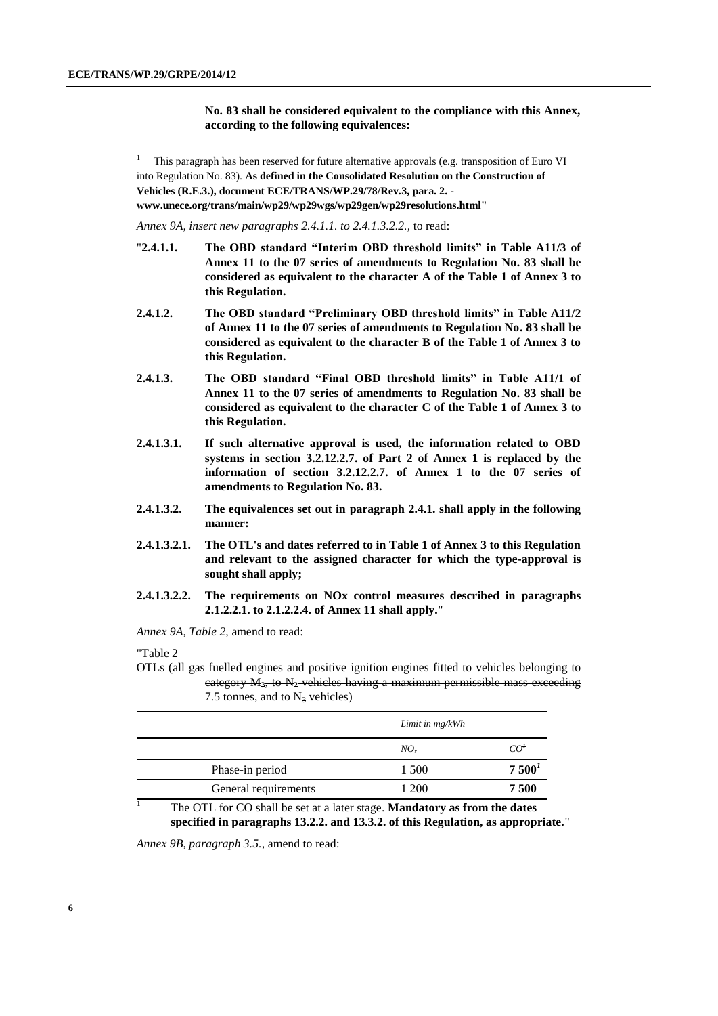-

**No. 83 shall be considered equivalent to the compliance with this Annex, according to the following equivalences:**

**[www.unece.org/trans/main/wp29/wp29wgs/wp29gen/wp29resolutions.html"](http://www.unece.org/trans/main/wp29/wp29wgs/wp29gen/wp29resolutions.html)**

*Annex 9A, insert new paragraphs 2.4.1.1. to 2.4.1.3.2.2.,* to read:

- "**2.4.1.1. The OBD standard "Interim OBD threshold limits" in Table A11/3 of Annex 11 to the 07 series of amendments to Regulation No. 83 shall be considered as equivalent to the character A of the Table 1 of Annex 3 to this Regulation.**
- **2.4.1.2. The OBD standard "Preliminary OBD threshold limits" in Table A11/2 of Annex 11 to the 07 series of amendments to Regulation No. 83 shall be considered as equivalent to the character B of the Table 1 of Annex 3 to this Regulation.**
- **2.4.1.3. The OBD standard "Final OBD threshold limits" in Table A11/1 of Annex 11 to the 07 series of amendments to Regulation No. 83 shall be considered as equivalent to the character C of the Table 1 of Annex 3 to this Regulation.**
- **2.4.1.3.1. If such alternative approval is used, the information related to OBD systems in section 3.2.12.2.7. of Part 2 of Annex 1 is replaced by the information of section 3.2.12.2.7. of Annex 1 to the 07 series of amendments to Regulation No. 83.**
- **2.4.1.3.2. The equivalences set out in paragraph 2.4.1. shall apply in the following manner:**
- **2.4.1.3.2.1. The OTL's and dates referred to in Table 1 of Annex 3 to this Regulation and relevant to the assigned character for which the type-approval is sought shall apply;**
- **2.4.1.3.2.2. The requirements on NOx control measures described in paragraphs 2.1.2.2.1. to 2.1.2.2.4. of Annex 11 shall apply.**"

*Annex 9A, Table 2,* amend to read:

"Table 2

OTLs (all gas fuelled engines and positive ignition engines fitted to vehicles belonging to category  $M_3$ , to  $N_2$  vehicles having a maximum permissible mass exceeding 7.5 tonnes, and to  $N_3$  vehicles)

|                      | Limit in mg/kWh |                   |
|----------------------|-----------------|-------------------|
|                      | $NO_{r}$        | CO <sup>t</sup>   |
| Phase-in period      | 1 500           | 7500 <sup>1</sup> |
| General requirements | l 200           | 7500              |

<sup>1</sup> The OTL for CO shall be set at a later stage. **Mandatory as from the dates specified in paragraphs 13.2.2. and 13.3.2. of this Regulation, as appropriate.**"

*Annex 9B, paragraph 3.5.,* amend to read:

<sup>1</sup> This paragraph has been reserved for future alternative approvals (e.g. transposition of Euro VI into Regulation No. 83). **As defined in the Consolidated Resolution on the Construction of Vehicles (R.E.3.), document ECE/TRANS/WP.29/78/Rev.3, para. 2. -**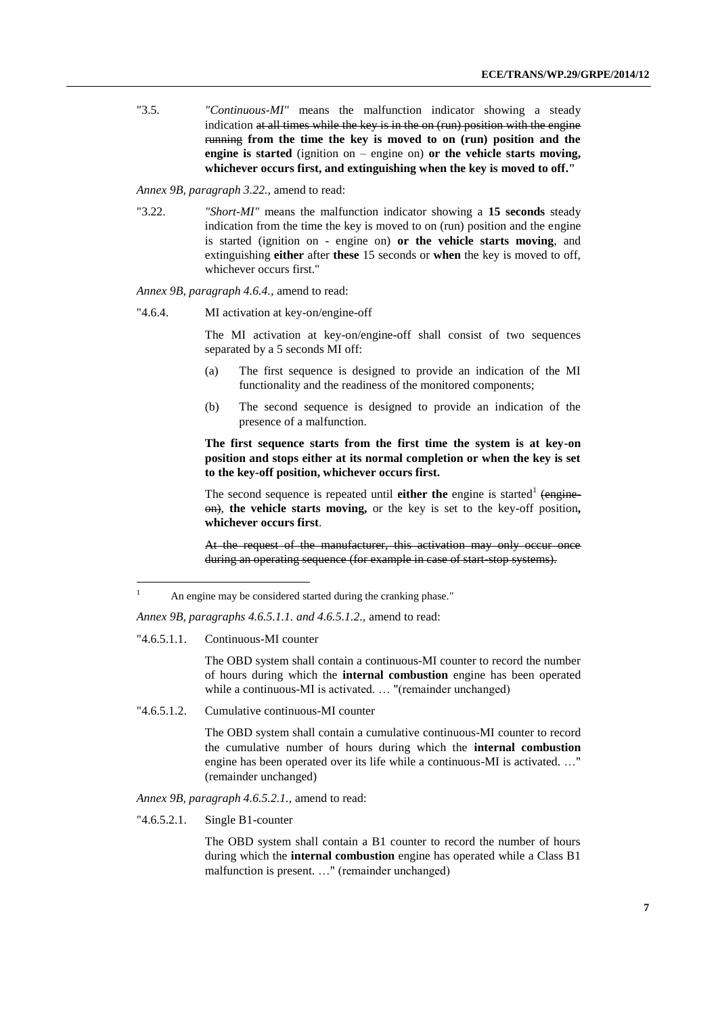"3.5. *"Continuous-MI"* means the malfunction indicator showing a steady indication at all times while the key is in the on (run) position with the engine running **from the time the key is moved to on (run) position and the engine is started** (ignition on – engine on) **or the vehicle starts moving, whichever occurs first, and extinguishing when the key is moved to off."**

*Annex 9B, paragraph 3.22.,* amend to read:

"3.22. *"Short-MI"* means the malfunction indicator showing a **15 seconds** steady indication from the time the key is moved to on (run) position and the engine is started (ignition on - engine on) **or the vehicle starts moving**, and extinguishing **either** after **these** 15 seconds or **when** the key is moved to off, whichever occurs first."

*Annex 9B, paragraph 4.6.4.,* amend to read:

"4.6.4. MI activation at key-on/engine-off

The MI activation at key-on/engine-off shall consist of two sequences separated by a 5 seconds MI off:

- (a) The first sequence is designed to provide an indication of the MI functionality and the readiness of the monitored components;
- (b) The second sequence is designed to provide an indication of the presence of a malfunction.

**The first sequence starts from the first time the system is at key-on position and stops either at its normal completion or when the key is set to the key-off position, whichever occurs first.**

The second sequence is repeated until **either the** engine is started<sup>1</sup> (engineon), **the vehicle starts moving,** or the key is set to the key-off position**, whichever occurs first**.

At the request of the manufacturer, this activation may only occur once during an operating sequence (for example in case of start-stop systems).

*Annex 9B, paragraphs 4.6.5.1.1. and 4.6.5.1.2.,* amend to read:

"4.6.5.1.1. Continuous-MI counter

-

The OBD system shall contain a continuous-MI counter to record the number of hours during which the **internal combustion** engine has been operated while a continuous-MI is activated. ... "(remainder unchanged)

"4.6.5.1.2. Cumulative continuous-MI counter

The OBD system shall contain a cumulative continuous-MI counter to record the cumulative number of hours during which the **internal combustion** engine has been operated over its life while a continuous-MI is activated. …" (remainder unchanged)

*Annex 9B, paragraph 4.6.5.2.1.,* amend to read:

"4.6.5.2.1. Single B1-counter

The OBD system shall contain a B1 counter to record the number of hours during which the **internal combustion** engine has operated while a Class B1 malfunction is present. …" (remainder unchanged)

<sup>&</sup>lt;sup>1</sup> An engine may be considered started during the cranking phase."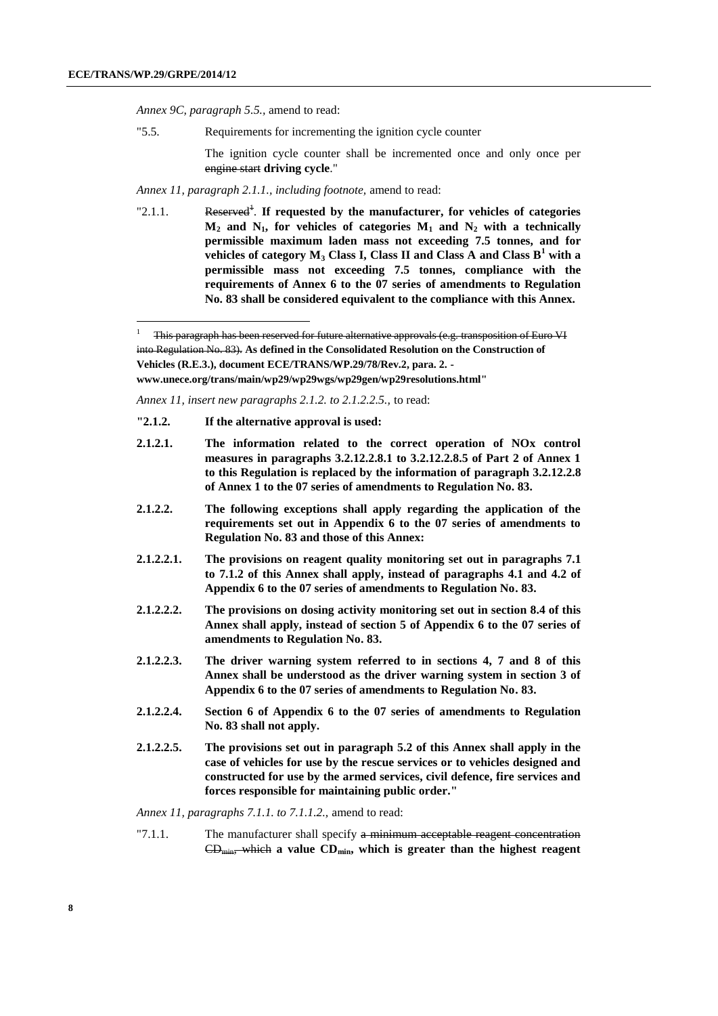-

*Annex 9C, paragraph 5.5.,* amend to read:

"5.5. Requirements for incrementing the ignition cycle counter

The ignition cycle counter shall be incremented once and only once per engine start **driving cycle**."

*Annex 11, paragraph 2.1.1., including footnote,* amend to read:

"2.1.1. Reserved<sup>1</sup>. If requested by the manufacturer, for vehicles of categories  $M_2$  **and N<sub>1</sub> for vehicles of categories**  $M_1$  **<b>and N<sub>2</sub>** with a technically **permissible maximum laden mass not exceeding 7.5 tonnes, and for vehicles of category M<sup>3</sup> Class I, Class II and Class A and Class B<sup>1</sup> with a permissible mass not exceeding 7.5 tonnes, compliance with the requirements of Annex 6 to the 07 series of amendments to Regulation No. 83 shall be considered equivalent to the compliance with this Annex.**

**[www.unece.org/trans/main/wp29/wp29wgs/wp29gen/wp29resolutions.html"](http://www.unece.org/trans/main/wp29/wp29wgs/wp29gen/wp29resolutions.html)**

*Annex 11, insert new paragraphs 2.1.2. to 2.1.2.2.5.,* to read:

- **"2.1.2. If the alternative approval is used:**
- **2.1.2.1. The information related to the correct operation of NOx control measures in paragraphs 3.2.12.2.8.1 to 3.2.12.2.8.5 of Part 2 of Annex 1 to this Regulation is replaced by the information of paragraph 3.2.12.2.8 of Annex 1 to the 07 series of amendments to Regulation No. 83.**
- **2.1.2.2. The following exceptions shall apply regarding the application of the requirements set out in Appendix 6 to the 07 series of amendments to Regulation No. 83 and those of this Annex:**
- **2.1.2.2.1. The provisions on reagent quality monitoring set out in paragraphs 7.1 to 7.1.2 of this Annex shall apply, instead of paragraphs 4.1 and 4.2 of Appendix 6 to the 07 series of amendments to Regulation No. 83.**
- **2.1.2.2.2. The provisions on dosing activity monitoring set out in section 8.4 of this Annex shall apply, instead of section 5 of Appendix 6 to the 07 series of amendments to Regulation No. 83.**
- **2.1.2.2.3. The driver warning system referred to in sections 4, 7 and 8 of this Annex shall be understood as the driver warning system in section 3 of Appendix 6 to the 07 series of amendments to Regulation No. 83.**
- **2.1.2.2.4. Section 6 of Appendix 6 to the 07 series of amendments to Regulation No. 83 shall not apply.**
- **2.1.2.2.5. The provisions set out in paragraph 5.2 of this Annex shall apply in the case of vehicles for use by the rescue services or to vehicles designed and constructed for use by the armed services, civil defence, fire services and forces responsible for maintaining public order."**

*Annex 11, paragraphs 7.1.1. to 7.1.1.2.,* amend to read:

 $\degree$ 7.1.1. The manufacturer shall specify a minimum acceptable reagent concentration CDmin, which **a value CDmin, which is greater than the highest reagent** 

<sup>1</sup> This paragraph has been reserved for future alternative approvals (e.g. transposition of Euro VI into Regulation No. 83). **As defined in the Consolidated Resolution on the Construction of Vehicles (R.E.3.), document ECE/TRANS/WP.29/78/Rev.2, para. 2. -**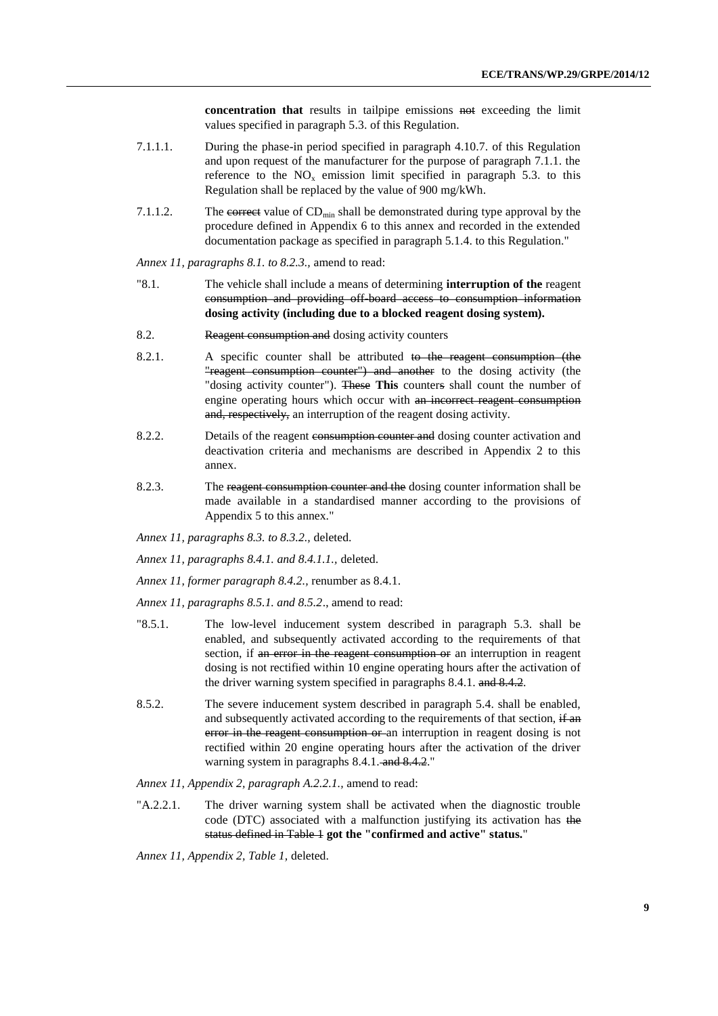**concentration that** results in tailpipe emissions not exceeding the limit values specified in paragraph 5.3. of this Regulation.

- 7.1.1.1. During the phase-in period specified in paragraph 4.10.7. of this Regulation and upon request of the manufacturer for the purpose of paragraph 7.1.1. the reference to the  $NO<sub>x</sub>$  emission limit specified in paragraph 5.3. to this Regulation shall be replaced by the value of 900 mg/kWh.
- 7.1.1.2. The correct value of  $CD_{min}$  shall be demonstrated during type approval by the procedure defined in Appendix 6 to this annex and recorded in the extended documentation package as specified in paragraph 5.1.4. to this Regulation."

*Annex 11, paragraphs 8.1. to 8.2.3.,* amend to read:

- "8.1. The vehicle shall include a means of determining **interruption of the** reagent consumption and providing off-board access to consumption information **dosing activity (including due to a blocked reagent dosing system).**
- 8.2. Reagent consumption and dosing activity counters
- $8.2.1.$  A specific counter shall be attributed to the reagent consumption (the "reagent consumption counter") and another to the dosing activity (the "dosing activity counter"). These **This** counters shall count the number of engine operating hours which occur with an incorrect reagent consumption and, respectively, an interruption of the reagent dosing activity.
- 8.2.2. Details of the reagent consumption counter and dosing counter activation and deactivation criteria and mechanisms are described in Appendix 2 to this annex.
- 8.2.3. The reagent consumption counter and the dosing counter information shall be made available in a standardised manner according to the provisions of Appendix 5 to this annex."
- *Annex 11, paragraphs 8.3. to 8.3.2.,* deleted.
- *Annex 11, paragraphs 8.4.1. and 8.4.1.1.,* deleted.
- *Annex 11, former paragraph 8.4.2.,* renumber as 8.4.1.

*Annex 11, paragraphs 8.5.1. and 8.5.2*., amend to read:

- "8.5.1. The low-level inducement system described in paragraph 5.3. shall be enabled, and subsequently activated according to the requirements of that section, if an error in the reagent consumption or an interruption in reagent dosing is not rectified within 10 engine operating hours after the activation of the driver warning system specified in paragraphs 8.4.1. and 8.4.2.
- 8.5.2. The severe inducement system described in paragraph 5.4. shall be enabled, and subsequently activated according to the requirements of that section, if an error in the reagent consumption or an interruption in reagent dosing is not rectified within 20 engine operating hours after the activation of the driver warning system in paragraphs 8.4.1. and 8.4.2."

*Annex 11, Appendix 2, paragraph A.2.2.1.,* amend to read:

"A.2.2.1. The driver warning system shall be activated when the diagnostic trouble code (DTC) associated with a malfunction justifying its activation has the status defined in Table 1 **got the "confirmed and active" status.**"

*Annex 11, Appendix 2, Table 1,* deleted.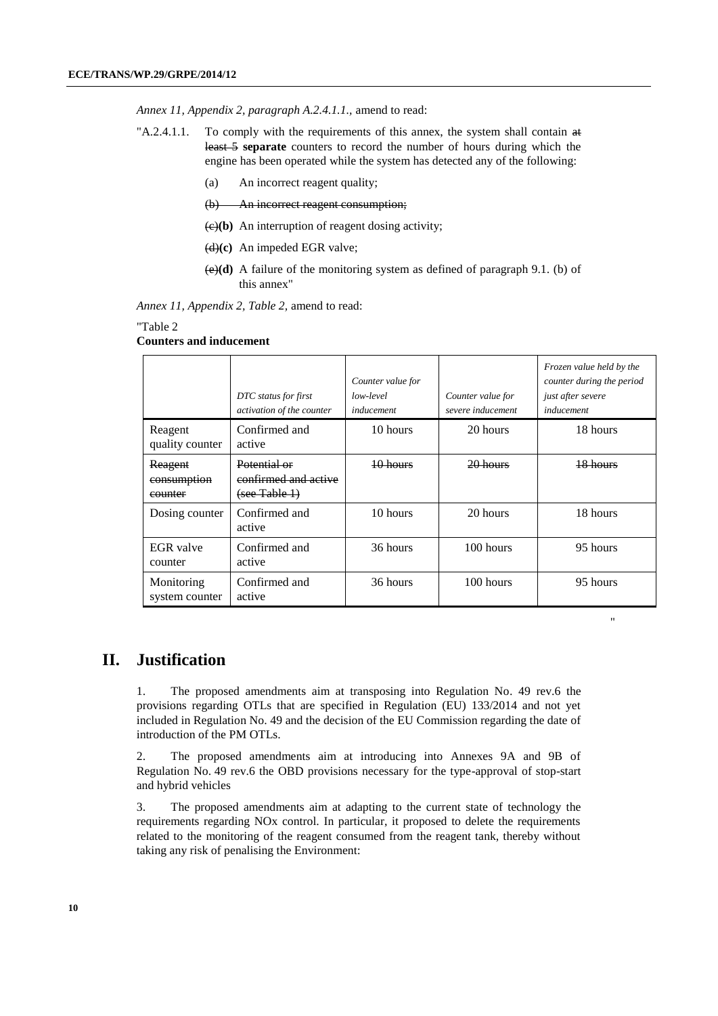*Annex 11, Appendix 2, paragraph A.2.4.1.1.,* amend to read:

- $A.2.4.1.1.$  To comply with the requirements of this annex, the system shall contain  $\theta$ least 5 **separate** counters to record the number of hours during which the engine has been operated while the system has detected any of the following:
	- (a) An incorrect reagent quality;
	- (b) An incorrect reagent consumption;
	- $\left(\frac{e}{e}\right)$  An interruption of reagent dosing activity;
	- (d)**(c)** An impeded EGR valve;
	- (e)**(d)** A failure of the monitoring system as defined of paragraph 9.1. (b) of this annex"

*Annex 11, Appendix 2, Table 2,* amend to read:

#### "Table 2

#### **Counters and inducement**

|                                   | DTC status for first<br>activation of the counter     | Counter value for<br>low-level<br>inducement | Counter value for<br>severe inducement | Frozen value held by the<br>counter during the period<br>just after severe<br>inducement |
|-----------------------------------|-------------------------------------------------------|----------------------------------------------|----------------------------------------|------------------------------------------------------------------------------------------|
| Reagent<br>quality counter        | Confirmed and<br>active                               | 10 hours                                     | 20 hours                               | 18 hours                                                                                 |
| Reagent<br>consumption<br>counter | Potential or<br>confirmed and active<br>(see Table 1) | $10$ hours                                   | $20$ hours                             | 18 hours                                                                                 |
| Dosing counter                    | Confirmed and<br>active                               | 10 hours                                     | 20 hours                               | 18 hours                                                                                 |
| EGR valve<br>counter              | Confirmed and<br>active                               | 36 hours                                     | 100 hours                              | 95 hours                                                                                 |
| Monitoring<br>system counter      | Confirmed and<br>active                               | 36 hours                                     | 100 hours                              | 95 hours                                                                                 |

"

# **II. Justification**

1. The proposed amendments aim at transposing into Regulation No. 49 rev.6 the provisions regarding OTLs that are specified in Regulation (EU) 133/2014 and not yet included in Regulation No. 49 and the decision of the EU Commission regarding the date of introduction of the PM OTLs.

2. The proposed amendments aim at introducing into Annexes 9A and 9B of Regulation No. 49 rev.6 the OBD provisions necessary for the type-approval of stop-start and hybrid vehicles

3. The proposed amendments aim at adapting to the current state of technology the requirements regarding NOx control. In particular, it proposed to delete the requirements related to the monitoring of the reagent consumed from the reagent tank, thereby without taking any risk of penalising the Environment: